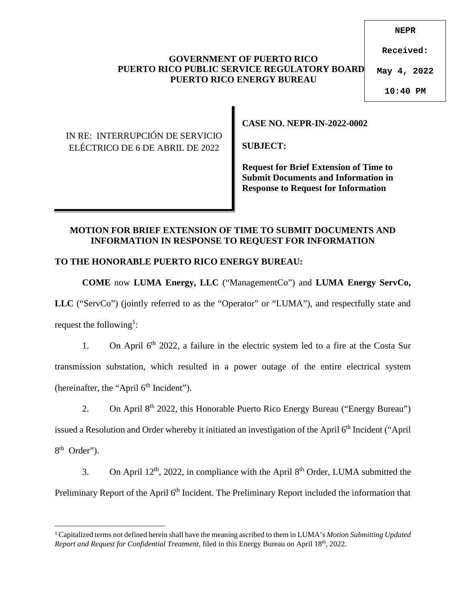### **GOVERNMENT OF PUERTO RICO PUERTO RICO PUBLIC SERVICE REGULATORY BOARD PUERTO RICO ENERGY BUREAU**

**NEPR**

**Received:**

**May 4, 2022**

**10:40 PM**

## IN RE: INTERRUPCIÓN DE SERVICIO ELÉCTRICO DE 6 DE ABRIL DE 2022

**CASE NO. NEPR-IN-2022-0002** 

**SUBJECT:** 

**Request for Brief Extension of Time to Submit Documents and Information in Response to Request for Information** 

## **MOTION FOR BRIEF EXTENSION OF TIME TO SUBMIT DOCUMENTS AND INFORMATION IN RESPONSE TO REQUEST FOR INFORMATION**

# **TO THE HONORABLE PUERTO RICO ENERGY BUREAU:**

**COME** now **LUMA Energy, LLC** ("ManagementCo") and **LUMA Energy ServCo,**  LLC ("ServCo") (jointly referred to as the "Operator" or "LUMA"), and respectfully state and request the following<sup>[1](#page-0-0)</sup>:

1. On April  $6<sup>th</sup>$  2022, a failure in the electric system led to a fire at the Costa Sur transmission substation, which resulted in a power outage of the entire electrical system (hereinafter, the "April  $6<sup>th</sup>$  Incident").

2. On April  $8<sup>th</sup>$  2022, this Honorable Puerto Rico Energy Bureau ("Energy Bureau") issued a Resolution and Order whereby it initiated an investigation of the April 6<sup>th</sup> Incident ("April 8<sup>th</sup> Order").

3. On April  $12^{th}$ , 2022, in compliance with the April  $8^{th}$  Order, LUMA submitted the Preliminary Report of the April 6<sup>th</sup> Incident. The Preliminary Report included the information that

<span id="page-0-0"></span><sup>1</sup> Capitalized terms not defined herein shall have the meaning ascribed to them in LUMA's *Motion Submitting Updated Report and Request for Confidential Treatment,* filed in this Energy Bureau on April 18th, 2022.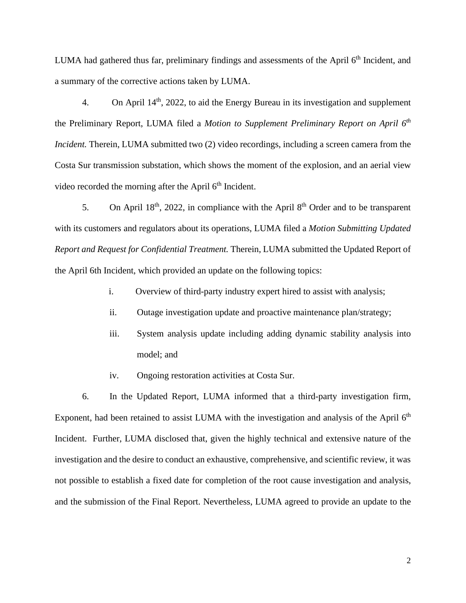LUMA had gathered thus far, preliminary findings and assessments of the April  $6<sup>th</sup>$  Incident, and a summary of the corrective actions taken by LUMA.

4. On April  $14<sup>th</sup>$ , 2022, to aid the Energy Bureau in its investigation and supplement the Preliminary Report, LUMA filed a *Motion to Supplement Preliminary Report on April 6th Incident.* Therein, LUMA submitted two (2) video recordings, including a screen camera from the Costa Sur transmission substation, which shows the moment of the explosion, and an aerial view video recorded the morning after the April  $6<sup>th</sup>$  Incident.

5. On April  $18<sup>th</sup>$ , 2022, in compliance with the April  $8<sup>th</sup>$  Order and to be transparent with its customers and regulators about its operations, LUMA filed a *Motion Submitting Updated Report and Request for Confidential Treatment.* Therein, LUMA submitted the Updated Report of the April 6th Incident, which provided an update on the following topics:

- i. Overview of third-party industry expert hired to assist with analysis;
- ii. Outage investigation update and proactive maintenance plan/strategy;
- iii. System analysis update including adding dynamic stability analysis into model; and
- iv. Ongoing restoration activities at Costa Sur.

6. In the Updated Report, LUMA informed that a third-party investigation firm, Exponent, had been retained to assist LUMA with the investigation and analysis of the April  $6<sup>th</sup>$ Incident. Further, LUMA disclosed that, given the highly technical and extensive nature of the investigation and the desire to conduct an exhaustive, comprehensive, and scientific review, it was not possible to establish a fixed date for completion of the root cause investigation and analysis, and the submission of the Final Report. Nevertheless, LUMA agreed to provide an update to the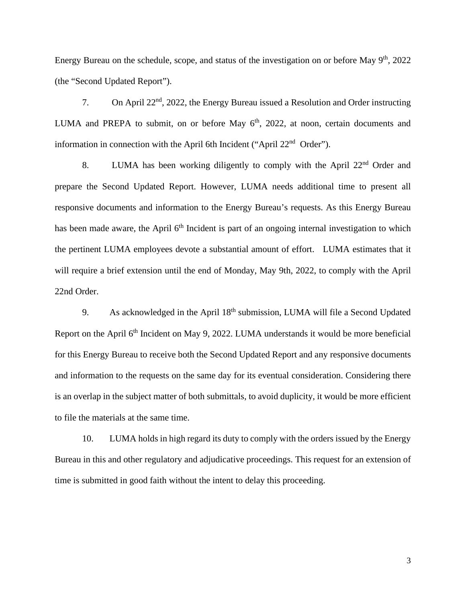Energy Bureau on the schedule, scope, and status of the investigation on or before May  $9<sup>th</sup>$ , 2022 (the "Second Updated Report").

7. On April 22nd, 2022, the Energy Bureau issued a Resolution and Order instructing LUMA and PREPA to submit, on or before May  $6<sup>th</sup>$ , 2022, at noon, certain documents and information in connection with the April 6th Incident ("April 22nd Order").

8. LUMA has been working diligently to comply with the April 22<sup>nd</sup> Order and prepare the Second Updated Report. However, LUMA needs additional time to present all responsive documents and information to the Energy Bureau's requests. As this Energy Bureau has been made aware, the April  $6<sup>th</sup>$  Incident is part of an ongoing internal investigation to which the pertinent LUMA employees devote a substantial amount of effort. LUMA estimates that it will require a brief extension until the end of Monday, May 9th, 2022, to comply with the April 22nd Order.

9. As acknowledged in the April 18<sup>th</sup> submission, LUMA will file a Second Updated Report on the April 6<sup>th</sup> Incident on May 9, 2022. LUMA understands it would be more beneficial for this Energy Bureau to receive both the Second Updated Report and any responsive documents and information to the requests on the same day for its eventual consideration. Considering there is an overlap in the subject matter of both submittals, to avoid duplicity, it would be more efficient to file the materials at the same time.

10. LUMA holds in high regard its duty to comply with the orders issued by the Energy Bureau in this and other regulatory and adjudicative proceedings. This request for an extension of time is submitted in good faith without the intent to delay this proceeding.